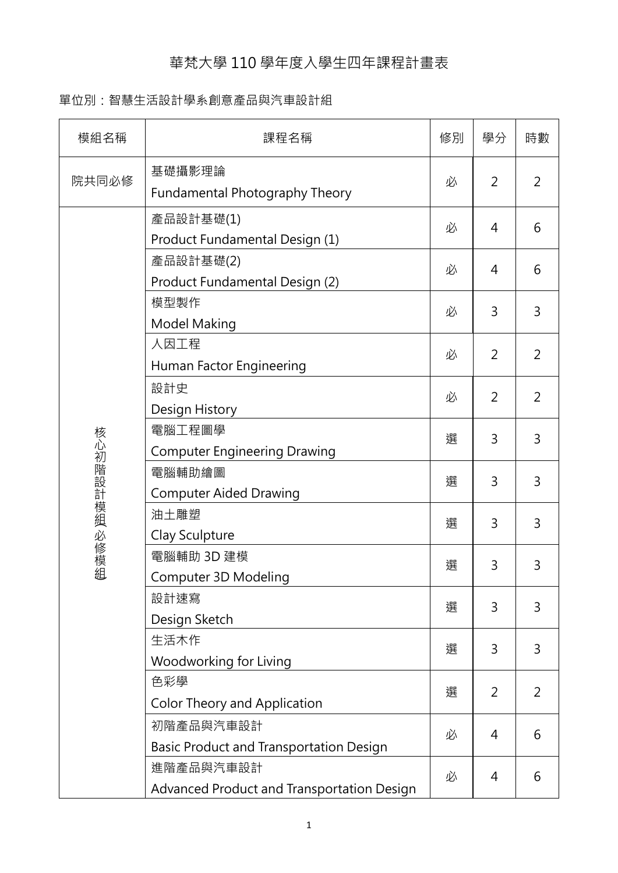## 華梵大學 110 學年度入學生四年課程計畫表

## 單位別:智慧生活設計學系創意產品與汽車設計組

| 模組名稱          | 課程名稱                                                    | 修別 | 學分             | 時數             |
|---------------|---------------------------------------------------------|----|----------------|----------------|
| 院共同必修         | 基礎攝影理論<br>Fundamental Photography Theory                | 必  | $\overline{2}$ | $\overline{2}$ |
|               | 產品設計基礎(1)<br>Product Fundamental Design (1)             | 必  | 4              | 6              |
|               | 產品設計基礎(2)<br>Product Fundamental Design (2)             | 必  | 4              | 6              |
|               | 模型製作<br><b>Model Making</b>                             | 必  | 3              | 3              |
|               | 人因工程<br>Human Factor Engineering                        | 必  | 2              | $\overline{2}$ |
|               | 設計史                                                     | 必  | $\overline{2}$ | $\overline{2}$ |
| 核心初階設計模組 必修模組 | Design History<br>電腦工程圖學                                | 選  | 3              | 3              |
|               | <b>Computer Engineering Drawing</b><br>電腦輔助繪圖           | 選  | 3              | 3              |
|               | <b>Computer Aided Drawing</b><br>油土雕塑                   | 選  | 3              | 3              |
|               | Clay Sculpture<br>電腦輔助 3D 建模                            | 選  | 3              | 3              |
|               | Computer 3D Modeling<br>設計速寫                            |    |                |                |
|               | Design Sketch<br>生活木作                                   | 選  | 3              | 3              |
|               | Woodworking for Living                                  | 選  | 3              | 3              |
|               | 色彩學<br>Color Theory and Application                     | 選  | $\overline{2}$ | 2              |
|               | 初階產品與汽車設計<br>Basic Product and Transportation Design    | 必  | 4              | 6              |
|               | 進階產品與汽車設計<br>Advanced Product and Transportation Design | 必  | $\overline{4}$ | 6              |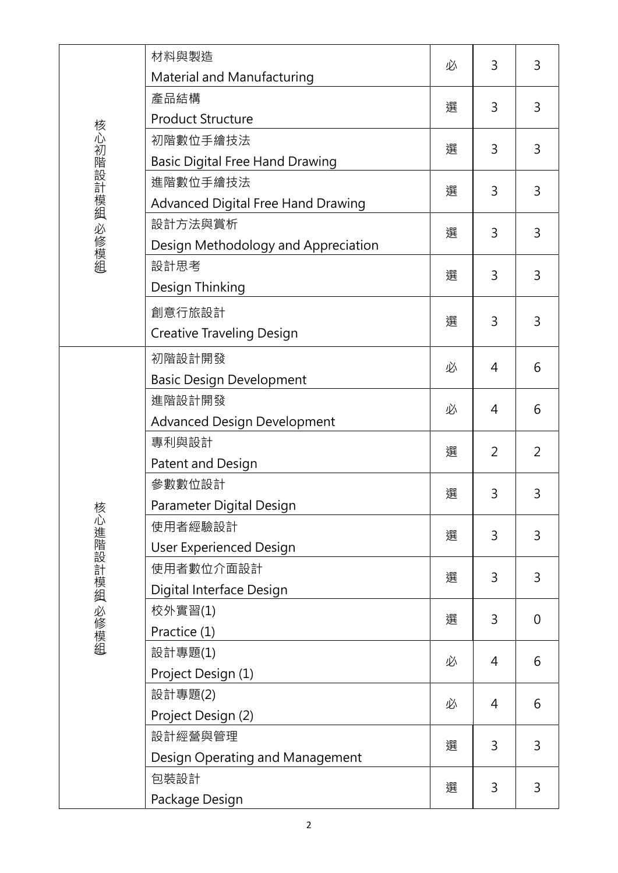|               | 材料與製造                                     | 必 | 3 | 3              |
|---------------|-------------------------------------------|---|---|----------------|
|               | <b>Material and Manufacturing</b>         |   |   |                |
|               | 產品結構                                      | 選 | 3 | 3              |
|               | <b>Product Structure</b>                  |   |   |                |
|               | 初階數位手繪技法                                  | 選 | 3 | 3              |
|               | <b>Basic Digital Free Hand Drawing</b>    |   |   |                |
|               | 進階數位手繪技法                                  | 選 | 3 | 3              |
| 核心初階設計模組 必修模組 | <b>Advanced Digital Free Hand Drawing</b> |   |   |                |
|               | 設計方法與賞析                                   | 選 | 3 | 3              |
|               | Design Methodology and Appreciation       |   |   |                |
|               | 設計思考                                      | 選 | 3 | 3              |
|               | Design Thinking                           |   |   |                |
|               | 創意行旅設計                                    | 選 | 3 | 3              |
|               | <b>Creative Traveling Design</b>          |   |   |                |
|               | 初階設計開發                                    | 必 | 4 | 6              |
|               | <b>Basic Design Development</b>           |   |   |                |
|               | 進階設計開發                                    | 必 | 4 | 6              |
|               | <b>Advanced Design Development</b>        |   |   |                |
|               | 專利與設計                                     | 選 | 2 | 2              |
|               | Patent and Design                         |   |   |                |
|               | 參數數位設計                                    | 選 | 3 | 3              |
|               | Parameter Digital Design                  |   |   |                |
|               | 使用者經驗設計                                   | 選 | 3 | 3              |
|               | <b>User Experienced Design</b>            |   |   |                |
|               | 使用者數位介面設計                                 | 選 | 3 | 3              |
| 核心進階設計模組 必修模組 | Digital Interface Design                  |   |   |                |
|               | 校外實習(1)                                   | 選 | 3 | $\overline{0}$ |
|               | Practice (1)                              |   |   |                |
|               | 設計專題(1)                                   | 必 | 4 | 6              |
|               | Project Design (1)                        |   |   |                |
|               | 設計專題(2)                                   | 必 | 4 | 6              |
|               | Project Design (2)                        |   |   |                |
|               | 設計經營與管理                                   | 選 | 3 | 3              |
|               | Design Operating and Management           |   |   |                |
|               | 包裝設計                                      | 選 | 3 | 3              |
|               | Package Design                            |   |   |                |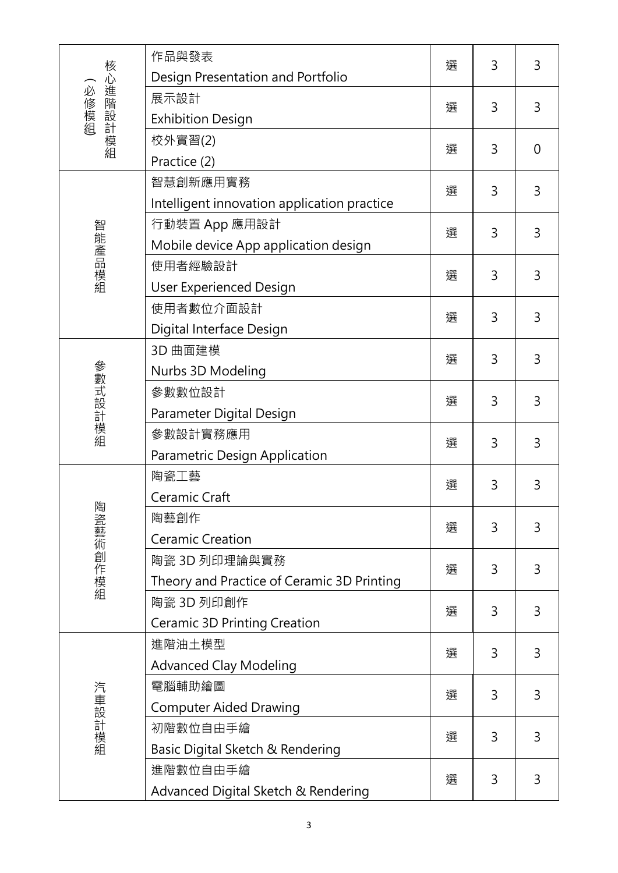| 核心進階設計模組<br>必修模組 | 作品與發表                                       | 選 | 3 | 3              |
|------------------|---------------------------------------------|---|---|----------------|
|                  | Design Presentation and Portfolio           |   |   |                |
|                  | 展示設計                                        | 選 | 3 | 3              |
|                  | <b>Exhibition Design</b>                    |   |   |                |
|                  | 校外實習(2)                                     | 選 | 3 | $\overline{0}$ |
|                  | Practice (2)                                |   |   |                |
|                  | 智慧創新應用實務                                    | 選 | 3 | 3              |
|                  | Intelligent innovation application practice |   |   |                |
|                  | 行動裝置 App 應用設計                               | 選 | 3 | 3              |
|                  | Mobile device App application design        |   |   |                |
| 智能產品模組           | 使用者經驗設計                                     | 選 | 3 | 3              |
|                  | <b>User Experienced Design</b>              |   |   |                |
|                  | 使用者數位介面設計                                   | 選 | 3 | 3              |
|                  | Digital Interface Design                    |   |   |                |
|                  | 3D 曲面建模                                     | 選 | 3 | 3              |
|                  | Nurbs 3D Modeling                           |   |   |                |
|                  | 參數數位設計                                      | 選 | 3 | 3              |
|                  | Parameter Digital Design                    |   |   |                |
| 參數式設計模組          | 參數設計實務應用                                    | 選 | 3 | 3              |
|                  | Parametric Design Application               |   |   |                |
|                  | 陶瓷工藝                                        | 選 | 3 | 3              |
|                  | Ceramic Craft                               |   |   |                |
| 陶瓷藝術創作模組         | 陶藝創作                                        | 選 | 3 | 3              |
|                  | <b>Ceramic Creation</b>                     |   |   |                |
|                  | 陶瓷 3D 列印理論與實務                               | 選 | 3 | 3              |
|                  | Theory and Practice of Ceramic 3D Printing  |   |   |                |
|                  | 陶瓷 3D 列印創作                                  | 選 | 3 | 3              |
|                  | <b>Ceramic 3D Printing Creation</b>         |   |   |                |
|                  | 進階油土模型                                      |   | 3 | 3              |
| 汽車設計模組           | <b>Advanced Clay Modeling</b>               | 選 |   |                |
|                  | 電腦輔助繪圖                                      |   |   | 3              |
|                  | <b>Computer Aided Drawing</b>               | 選 | 3 |                |
|                  | 初階數位自由手繪                                    | 選 | 3 | 3              |
|                  | Basic Digital Sketch & Rendering            |   |   |                |
|                  | 進階數位自由手繪                                    | 選 | 3 | 3              |
|                  | Advanced Digital Sketch & Rendering         |   |   |                |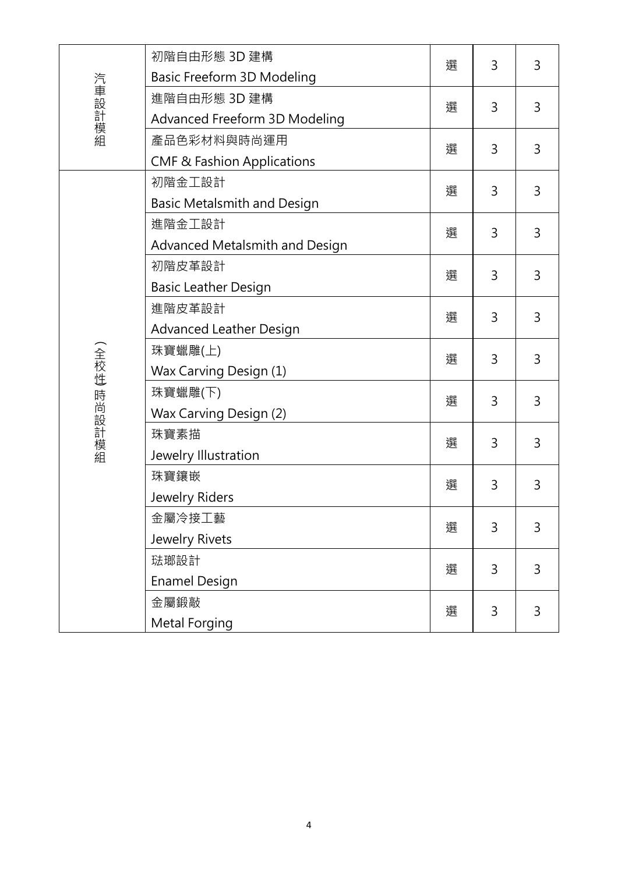|             | 初階自由形態 3D 建構                          | 選 | 3 | 3 |
|-------------|---------------------------------------|---|---|---|
|             | Basic Freeform 3D Modeling            |   |   |   |
| 汽車設計模組      | 進階自由形態 3D 建構                          | 選 | 3 | 3 |
|             | Advanced Freeform 3D Modeling         |   |   |   |
|             | 產品色彩材料與時尚運用                           | 選 | 3 | 3 |
|             | <b>CMF &amp; Fashion Applications</b> |   |   |   |
|             | 初階金工設計                                | 選 | 3 | 3 |
|             | Basic Metalsmith and Design           |   |   |   |
|             | 進階金工設計                                | 選 | 3 | 3 |
|             | Advanced Metalsmith and Design        |   |   |   |
|             | 初階皮革設計                                | 選 | 3 | 3 |
|             | <b>Basic Leather Design</b>           |   |   |   |
|             | 進階皮革設計                                | 選 | 3 | 3 |
|             | <b>Advanced Leather Design</b>        |   |   |   |
|             | 珠寶蠟雕(上)                               | 選 | 3 | 3 |
|             | Wax Carving Design (1)                |   |   |   |
| (全校性 時尚設計模組 | 珠寶蠟雕(下)                               | 選 | 3 | 3 |
|             | Wax Carving Design (2)                |   |   |   |
|             | 珠寶素描                                  | 選 | 3 | 3 |
|             | Jewelry Illustration                  |   |   |   |
|             | 珠寶鑲嵌                                  | 選 | 3 | 3 |
|             | Jewelry Riders                        |   |   |   |
|             | 金屬冷接工藝                                | 選 | 3 | 3 |
|             | Jewelry Rivets                        |   |   |   |
|             | 琺瑯設計                                  | 選 | 3 | 3 |
|             | <b>Enamel Design</b>                  |   |   |   |
|             | 金屬鍛敲                                  | 選 | 3 | 3 |
|             | Metal Forging                         |   |   |   |